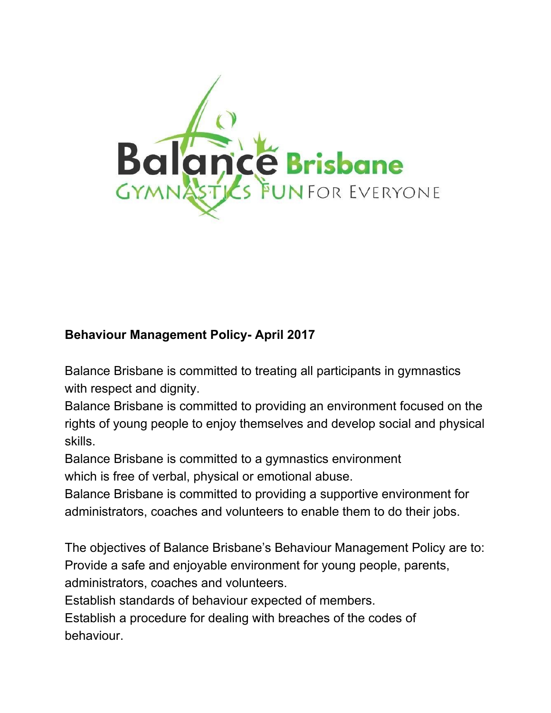

## **Behaviour Management Policy- April 2017**

Balance Brisbane is committed to treating all participants in gymnastics with respect and dignity.

Balance Brisbane is committed to providing an environment focused on the rights of young people to enjoy themselves and develop social and physical skills.

Balance Brisbane is committed to a gymnastics environment which is free of verbal, physical or emotional abuse.

Balance Brisbane is committed to providing a supportive environment for administrators, coaches and volunteers to enable them to do their jobs.

The objectives of Balance Brisbane's Behaviour Management Policy are to: Provide a safe and enjoyable environment for young people, parents, administrators, coaches and volunteers.

Establish standards of behaviour expected of members.

Establish a procedure for dealing with breaches of the codes of behaviour.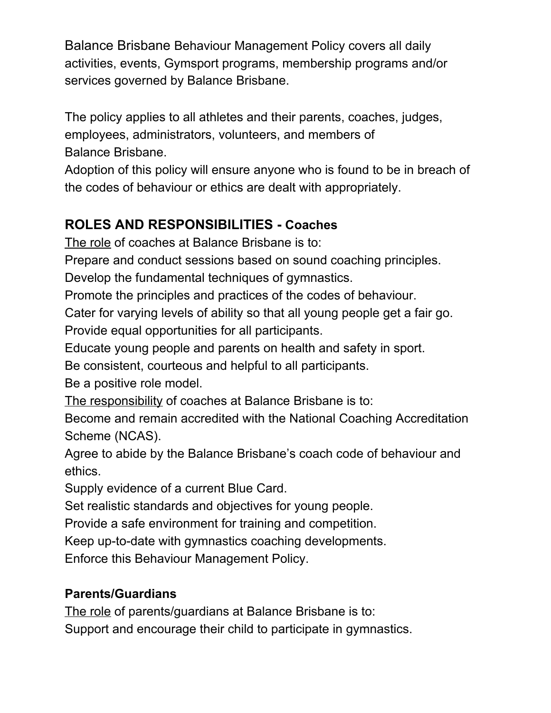Balance Brisbane Behaviour Management Policy covers all daily activities, events, Gymsport programs, membership programs and/or services governed by Balance Brisbane.

The policy applies to all athletes and their parents, coaches, judges, employees, administrators, volunteers, and members of Balance Brisbane.

Adoption of this policy will ensure anyone who is found to be in breach of the codes of behaviour or ethics are dealt with appropriately.

# **ROLES AND RESPONSIBILITIES - Coaches**

The role of coaches at Balance Brisbane is to:

Prepare and conduct sessions based on sound coaching principles.

Develop the fundamental techniques of gymnastics.

Promote the principles and practices of the codes of behaviour.

Cater for varying levels of ability so that all young people get a fair go.

Provide equal opportunities for all participants.

Educate young people and parents on health and safety in sport.

Be consistent, courteous and helpful to all participants.

Be a positive role model.

The responsibility of coaches at Balance Brisbane is to:

Become and remain accredited with the National Coaching Accreditation Scheme (NCAS).

Agree to abide by the Balance Brisbane's coach code of behaviour and ethics.

Supply evidence of a current Blue Card.

Set realistic standards and objectives for young people.

Provide a safe environment for training and competition.

Keep up-to-date with gymnastics coaching developments.

Enforce this Behaviour Management Policy.

## **Parents/Guardians**

The role of parents/guardians at Balance Brisbane is to:

Support and encourage their child to participate in gymnastics.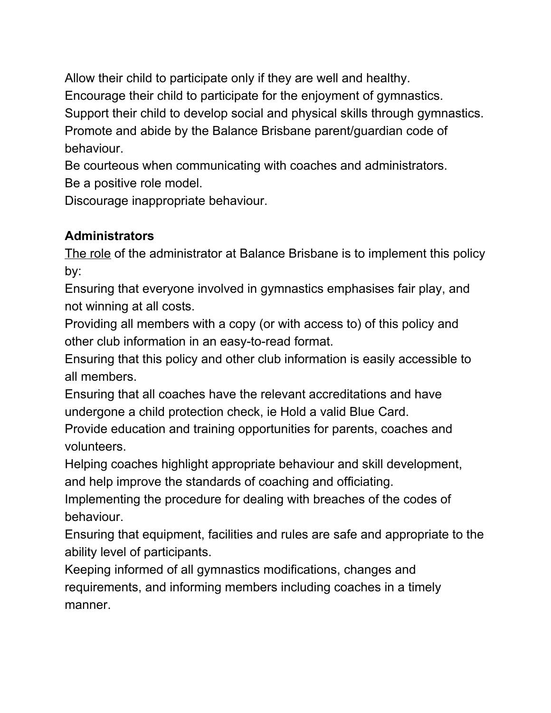Allow their child to participate only if they are well and healthy.

Encourage their child to participate for the enjoyment of gymnastics.

Support their child to develop social and physical skills through gymnastics.

Promote and abide by the Balance Brisbane parent/guardian code of behaviour.

Be courteous when communicating with coaches and administrators. Be a positive role model.

Discourage inappropriate behaviour.

## **Administrators**

The role of the administrator at Balance Brisbane is to implement this policy by:

Ensuring that everyone involved in gymnastics emphasises fair play, and not winning at all costs.

Providing all members with a copy (or with access to) of this policy and other club information in an easy-to-read format.

Ensuring that this policy and other club information is easily accessible to all members.

Ensuring that all coaches have the relevant accreditations and have undergone a child protection check, ie Hold a valid Blue Card.

Provide education and training opportunities for parents, coaches and volunteers.

Helping coaches highlight appropriate behaviour and skill development, and help improve the standards of coaching and officiating.

Implementing the procedure for dealing with breaches of the codes of behaviour.

Ensuring that equipment, facilities and rules are safe and appropriate to the ability level of participants.

Keeping informed of all gymnastics modifications, changes and requirements, and informing members including coaches in a timely manner.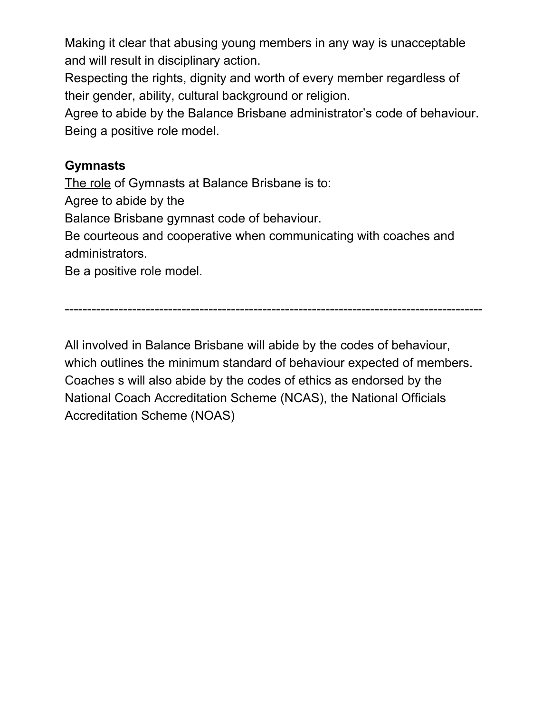Making it clear that abusing young members in any way is unacceptable and will result in disciplinary action.

Respecting the rights, dignity and worth of every member regardless of their gender, ability, cultural background or religion.

Agree to abide by the Balance Brisbane administrator's code of behaviour. Being a positive role model.

#### **Gymnasts**

The role of Gymnasts at Balance Brisbane is to:

Agree to abide by the

Balance Brisbane gymnast code of behaviour.

Be courteous and cooperative when communicating with coaches and administrators.

Be a positive role model.

---------------------------------------------------------------------------------------------

All involved in Balance Brisbane will abide by the codes of behaviour, which outlines the minimum standard of behaviour expected of members. Coaches s will also abide by the codes of ethics as endorsed by the National Coach Accreditation Scheme (NCAS), the National Officials Accreditation Scheme (NOAS)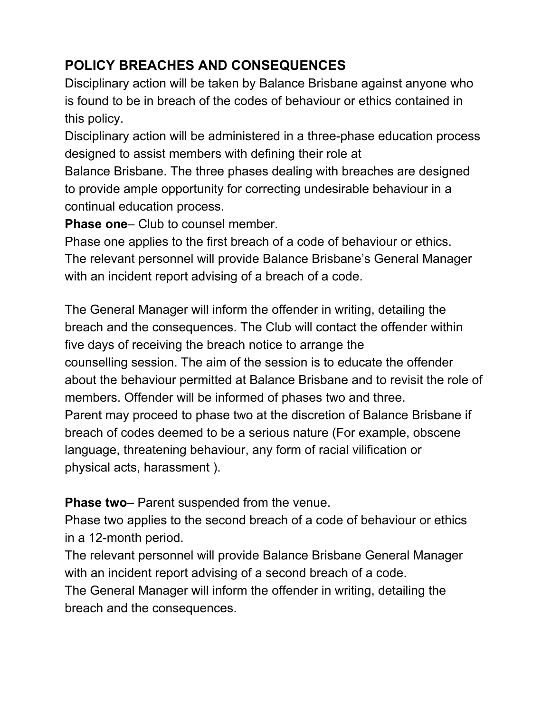# **POLICY BREACHES AND CONSEQUENCES**

Disciplinary action will be taken by Balance Brisbane against anyone who is found to be in breach of the codes of behaviour or ethics contained in this policy.

Disciplinary action will be administered in a three-phase education process designed to assist members with defining their role at Balance Brisbane. The three phases dealing with breaches are designed to provide ample opportunity for correcting undesirable behaviour in a continual education process.

**Phase one**– Club to counsel member.

Phase one applies to the first breach of a code of behaviour or ethics. The relevant personnel will provide Balance Brisbane's General Manager with an incident report advising of a breach of a code.

The General Manager will inform the offender in writing, detailing the breach and the consequences. The Club will contact the offender within five days of receiving the breach notice to arrange the counselling session. The aim of the session is to educate the offender about the behaviour permitted at Balance Brisbane and to revisit the role of members. Offender will be informed of phases two and three. Parent may proceed to phase two at the discretion of Balance Brisbane if breach of codes deemed to be a serious nature (For example, obscene language, threatening behaviour, any form of racial vilification or physical acts, harassment ).

**Phase two**– Parent suspended from the venue.

Phase two applies to the second breach of a code of behaviour or ethics in a 12-month period.

The relevant personnel will provide Balance Brisbane General Manager with an incident report advising of a second breach of a code.

The General Manager will inform the offender in writing, detailing the breach and the consequences.